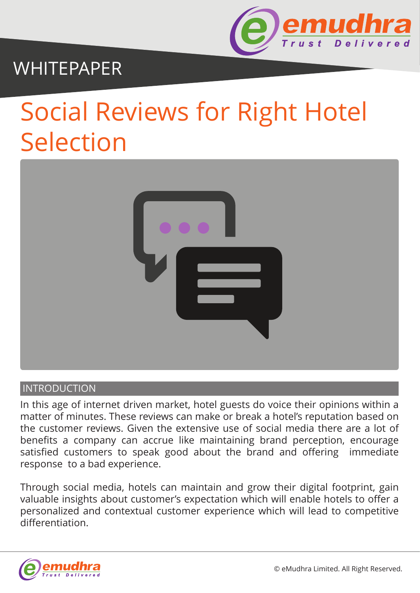

## WHITEPAPER

# Social Reviews for Right Hotel Selection



#### **INTRODUCTION**

In this age of internet driven market, hotel guests do voice their opinions within a matter of minutes. These reviews can make or break a hotel's reputation based on the customer reviews. Given the extensive use of social media there are a lot of benefits a company can accrue like maintaining brand perception, encourage satisfied customers to speak good about the brand and offering immediate response to a bad experience.

Through social media, hotels can maintain and grow their digital footprint, gain valuable insights about customer's expectation which will enable hotels to offer a personalized and contextual customer experience which will lead to competitive differentiation.

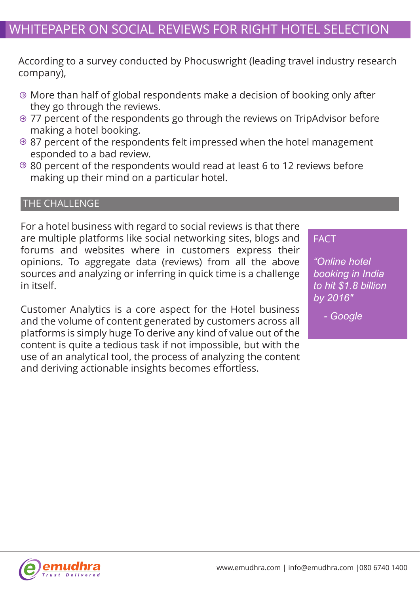### WHITEPAPER ON SOCIAL REVIEWS FOR RIGHT HOTEL SELECTION

According to a survey conducted by Phocuswright (leading travel industry research company),

- More than half of global respondents make a decision of booking only after they go through the reviews.
- 77 percent of the respondents go through the reviews on TripAdvisor before making a hotel booking.
- $\Theta$  87 percent of the respondents felt impressed when the hotel management esponded to a bad review.
- $\Theta$  80 percent of the respondents would read at least 6 to 12 reviews before making up their mind on a particular hotel.

#### THE CHALLENGE

For a hotel business with regard to social reviews is that there are multiple platforms like social networking sites, blogs and forums and websites where in customers express their opinions. To aggregate data (reviews) from all the above sources and analyzing or inferring in quick time is a challenge in itself.

Customer Analytics is a core aspect for the Hotel business and the volume of content generated by customers across all platforms is simply huge To derive any kind of value out of the content is quite a tedious task if not impossible, but with the use of an analytical tool, the process of analyzing the content and deriving actionable insights becomes effortless.

#### FACT

*"Online hotel booking in India to hit \$1.8 billion by 2016"*

*- Google* 

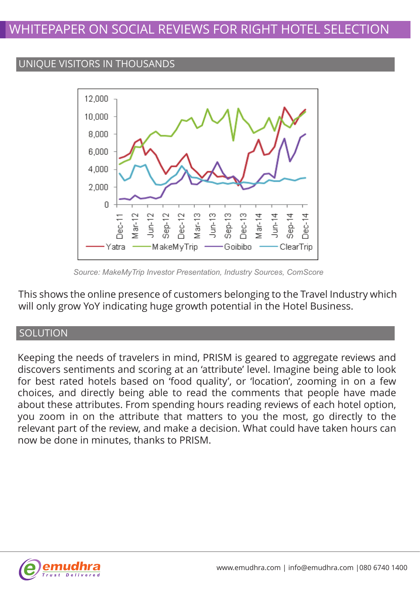#### UNIQUE VISITORS IN THOUSANDS



*Source: MakeMyTrip Investor Presentation, Industry Sources, ComScore*

This shows the online presence of customers belonging to the Travel Industry which will only grow YoY indicating huge growth potential in the Hotel Business.

#### **SOLUTION**

Keeping the needs of travelers in mind, PRISM is geared to aggregate reviews and discovers sentiments and scoring at an 'attribute' level. Imagine being able to look for best rated hotels based on 'food quality', or 'location', zooming in on a few choices, and directly being able to read the comments that people have made about these attributes. From spending hours reading reviews of each hotel option, you zoom in on the attribute that matters to you the most, go directly to the relevant part of the review, and make a decision. What could have taken hours can now be done in minutes, thanks to PRISM.

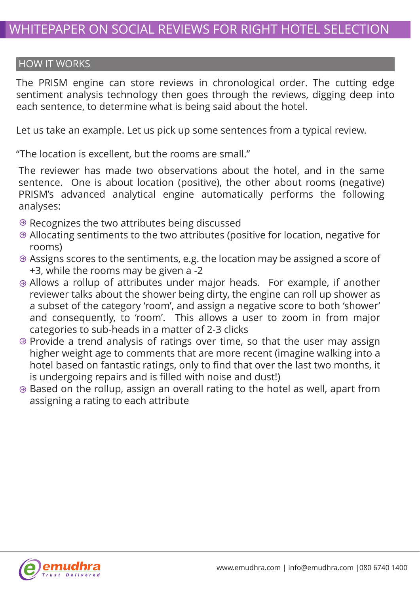#### HOW IT WORKS

The PRISM engine can store reviews in chronological order. The cutting edge sentiment analysis technology then goes through the reviews, digging deep into each sentence, to determine what is being said about the hotel.

Let us take an example. Let us pick up some sentences from a typical review.

"The location is excellent, but the rooms are small."

The reviewer has made two observations about the hotel, and in the same sentence. One is about location (positive), the other about rooms (negative) PRISM's advanced analytical engine automatically performs the following analyses:

- $\Theta$  Recognizes the two attributes being discussed
- Allocating sentiments to the two attributes (positive for location, negative for rooms)
- Assigns scores to the sentiments, e.g. the location may be assigned a score of +3, while the rooms may be given a -2
- Allows a rollup of attributes under major heads. For example, if another reviewer talks about the shower being dirty, the engine can roll up shower as a subset of the category 'room', and assign a negative score to both 'shower' and consequently, to 'room'. This allows a user to zoom in from major categories to sub-heads in a matter of 2-3 clicks
- $\odot$  Provide a trend analysis of ratings over time, so that the user may assign higher weight age to comments that are more recent (imagine walking into a hotel based on fantastic ratings, only to find that over the last two months, it is undergoing repairs and is filled with noise and dust!)
- Based on the rollup, assign an overall rating to the hotel as well, apart from assigning a rating to each attribute